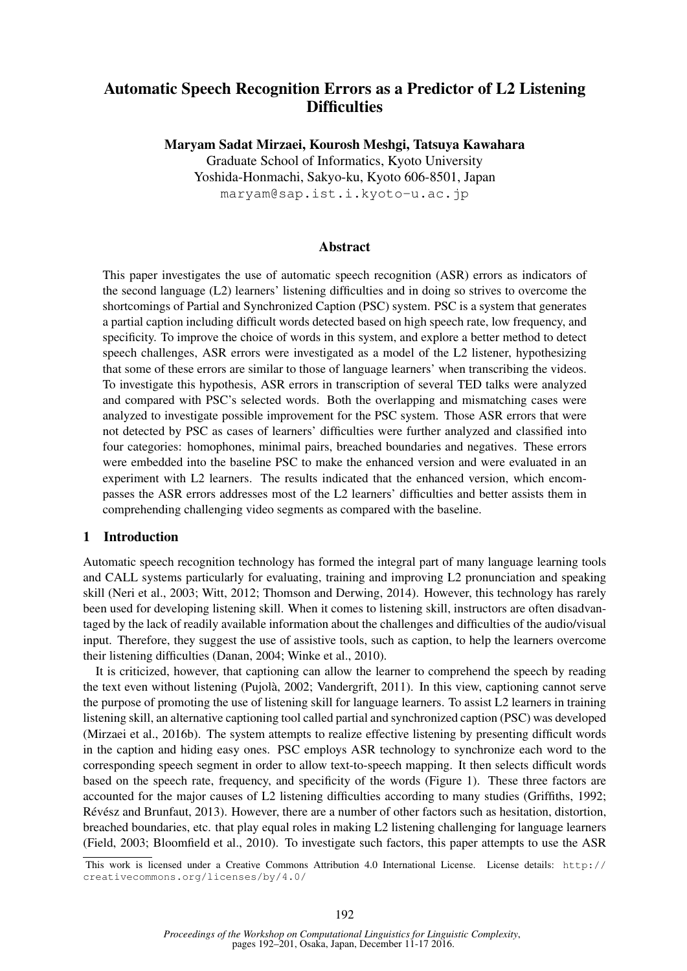# Automatic Speech Recognition Errors as a Predictor of L2 Listening **Difficulties**

Maryam Sadat Mirzaei, Kourosh Meshgi, Tatsuya Kawahara

Graduate School of Informatics, Kyoto University Yoshida-Honmachi, Sakyo-ku, Kyoto 606-8501, Japan maryam@sap.ist.i.kyoto-u.ac.jp

### Abstract

This paper investigates the use of automatic speech recognition (ASR) errors as indicators of the second language (L2) learners' listening difficulties and in doing so strives to overcome the shortcomings of Partial and Synchronized Caption (PSC) system. PSC is a system that generates a partial caption including difficult words detected based on high speech rate, low frequency, and specificity. To improve the choice of words in this system, and explore a better method to detect speech challenges, ASR errors were investigated as a model of the L2 listener, hypothesizing that some of these errors are similar to those of language learners' when transcribing the videos. To investigate this hypothesis, ASR errors in transcription of several TED talks were analyzed and compared with PSC's selected words. Both the overlapping and mismatching cases were analyzed to investigate possible improvement for the PSC system. Those ASR errors that were not detected by PSC as cases of learners' difficulties were further analyzed and classified into four categories: homophones, minimal pairs, breached boundaries and negatives. These errors were embedded into the baseline PSC to make the enhanced version and were evaluated in an experiment with L2 learners. The results indicated that the enhanced version, which encompasses the ASR errors addresses most of the L2 learners' difficulties and better assists them in comprehending challenging video segments as compared with the baseline.

# 1 Introduction

Automatic speech recognition technology has formed the integral part of many language learning tools and CALL systems particularly for evaluating, training and improving L2 pronunciation and speaking skill (Neri et al., 2003; Witt, 2012; Thomson and Derwing, 2014). However, this technology has rarely been used for developing listening skill. When it comes to listening skill, instructors are often disadvantaged by the lack of readily available information about the challenges and difficulties of the audio/visual input. Therefore, they suggest the use of assistive tools, such as caption, to help the learners overcome their listening difficulties (Danan, 2004; Winke et al., 2010).

It is criticized, however, that captioning can allow the learner to comprehend the speech by reading the text even without listening (Pujola, 2002; Vandergrift, 2011). In this view, captioning cannot serve ` the purpose of promoting the use of listening skill for language learners. To assist L2 learners in training listening skill, an alternative captioning tool called partial and synchronized caption (PSC) was developed (Mirzaei et al., 2016b). The system attempts to realize effective listening by presenting difficult words in the caption and hiding easy ones. PSC employs ASR technology to synchronize each word to the corresponding speech segment in order to allow text-to-speech mapping. It then selects difficult words based on the speech rate, frequency, and specificity of the words (Figure 1). These three factors are accounted for the major causes of L2 listening difficulties according to many studies (Griffiths, 1992; Révész and Brunfaut, 2013). However, there are a number of other factors such as hesitation, distortion, breached boundaries, etc. that play equal roles in making L2 listening challenging for language learners (Field, 2003; Bloomfield et al., 2010). To investigate such factors, this paper attempts to use the ASR

This work is licensed under a Creative Commons Attribution 4.0 International License. License details: http:// creativecommons.org/licenses/by/4.0/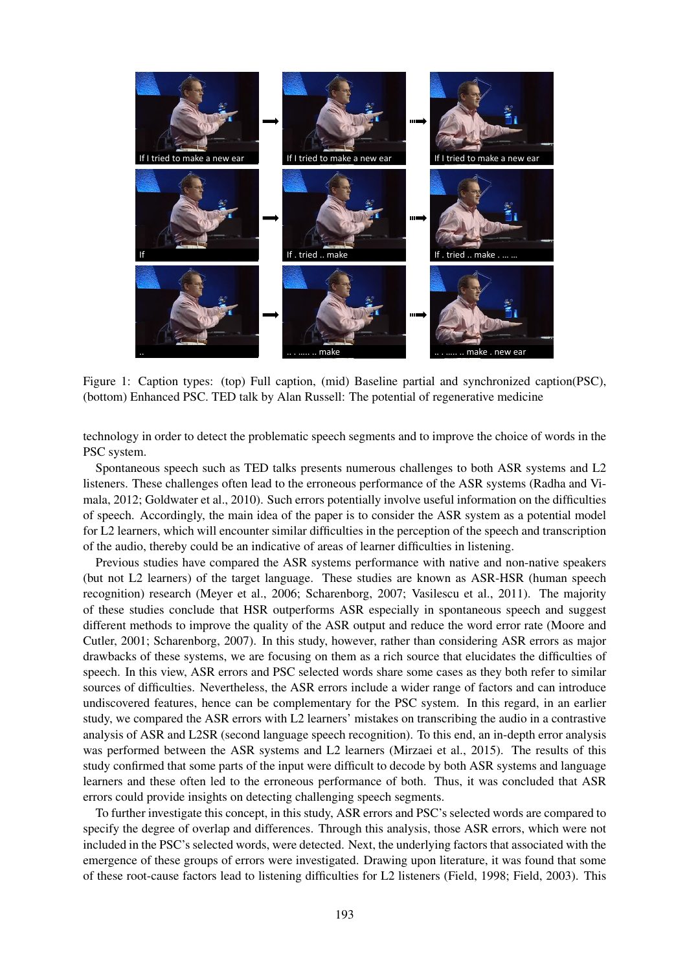

Figure 1: Caption types: (top) Full caption, (mid) Baseline partial and synchronized caption(PSC), (bottom) Enhanced PSC. TED talk by Alan Russell: The potential of regenerative medicine

technology in order to detect the problematic speech segments and to improve the choice of words in the PSC system.

Spontaneous speech such as TED talks presents numerous challenges to both ASR systems and L2 listeners. These challenges often lead to the erroneous performance of the ASR systems (Radha and Vimala, 2012; Goldwater et al., 2010). Such errors potentially involve useful information on the difficulties of speech. Accordingly, the main idea of the paper is to consider the ASR system as a potential model for L2 learners, which will encounter similar difficulties in the perception of the speech and transcription of the audio, thereby could be an indicative of areas of learner difficulties in listening.

Previous studies have compared the ASR systems performance with native and non-native speakers (but not L2 learners) of the target language. These studies are known as ASR-HSR (human speech recognition) research (Meyer et al., 2006; Scharenborg, 2007; Vasilescu et al., 2011). The majority of these studies conclude that HSR outperforms ASR especially in spontaneous speech and suggest different methods to improve the quality of the ASR output and reduce the word error rate (Moore and Cutler, 2001; Scharenborg, 2007). In this study, however, rather than considering ASR errors as major drawbacks of these systems, we are focusing on them as a rich source that elucidates the difficulties of speech. In this view, ASR errors and PSC selected words share some cases as they both refer to similar sources of difficulties. Nevertheless, the ASR errors include a wider range of factors and can introduce undiscovered features, hence can be complementary for the PSC system. In this regard, in an earlier study, we compared the ASR errors with L2 learners' mistakes on transcribing the audio in a contrastive analysis of ASR and L2SR (second language speech recognition). To this end, an in-depth error analysis was performed between the ASR systems and L2 learners (Mirzaei et al., 2015). The results of this study confirmed that some parts of the input were difficult to decode by both ASR systems and language learners and these often led to the erroneous performance of both. Thus, it was concluded that ASR errors could provide insights on detecting challenging speech segments.

To further investigate this concept, in this study, ASR errors and PSC's selected words are compared to specify the degree of overlap and differences. Through this analysis, those ASR errors, which were not included in the PSC's selected words, were detected. Next, the underlying factors that associated with the emergence of these groups of errors were investigated. Drawing upon literature, it was found that some of these root-cause factors lead to listening difficulties for L2 listeners (Field, 1998; Field, 2003). This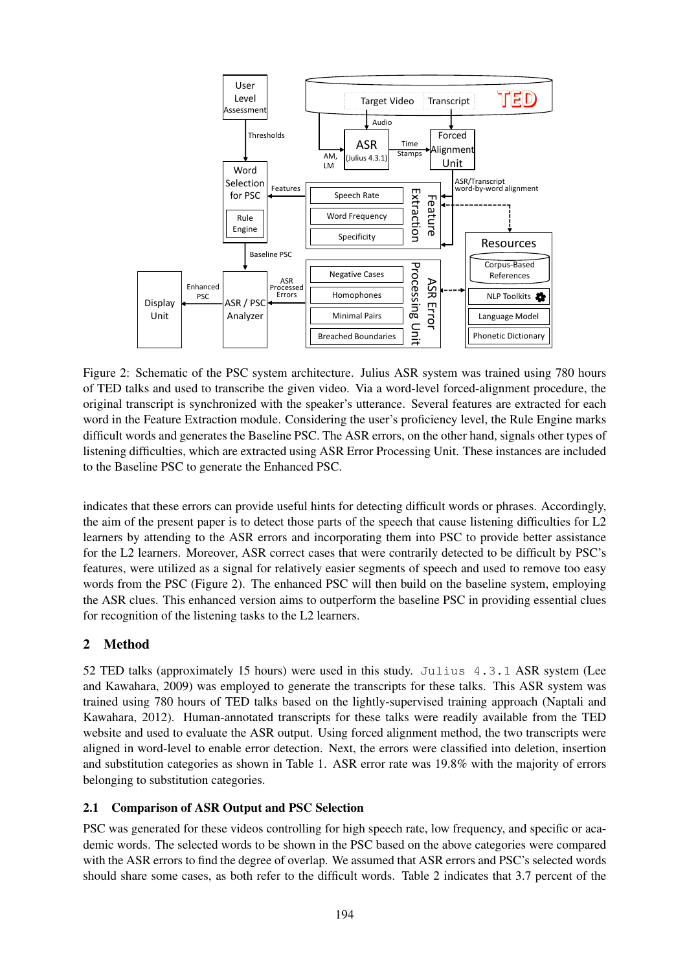

Figure 2: Schematic of the PSC system architecture. Julius ASR system was trained using 780 hours of TED talks and used to transcribe the given video. Via a word-level forced-alignment procedure, the original transcript is synchronized with the speaker's utterance. Several features are extracted for each word in the Feature Extraction module. Considering the user's proficiency level, the Rule Engine marks difficult words and generates the Baseline PSC. The ASR errors, on the other hand, signals other types of listening difficulties, which are extracted using ASR Error Processing Unit. These instances are included to the Baseline PSC to generate the Enhanced PSC.

indicates that these errors can provide useful hints for detecting difficult words or phrases. Accordingly, the aim of the present paper is to detect those parts of the speech that cause listening difficulties for L2 learners by attending to the ASR errors and incorporating them into PSC to provide better assistance for the L2 learners. Moreover, ASR correct cases that were contrarily detected to be difficult by PSC's features, were utilized as a signal for relatively easier segments of speech and used to remove too easy words from the PSC (Figure 2). The enhanced PSC will then build on the baseline system, employing the ASR clues. This enhanced version aims to outperform the baseline PSC in providing essential clues for recognition of the listening tasks to the L2 learners.

# 2 Method

52 TED talks (approximately 15 hours) were used in this study. Julius 4.3.1 ASR system (Lee and Kawahara, 2009) was employed to generate the transcripts for these talks. This ASR system was trained using 780 hours of TED talks based on the lightly-supervised training approach (Naptali and Kawahara, 2012). Human-annotated transcripts for these talks were readily available from the TED website and used to evaluate the ASR output. Using forced alignment method, the two transcripts were aligned in word-level to enable error detection. Next, the errors were classified into deletion, insertion and substitution categories as shown in Table 1. ASR error rate was 19.8% with the majority of errors belonging to substitution categories.

# 2.1 Comparison of ASR Output and PSC Selection

PSC was generated for these videos controlling for high speech rate, low frequency, and specific or academic words. The selected words to be shown in the PSC based on the above categories were compared with the ASR errors to find the degree of overlap. We assumed that ASR errors and PSC's selected words should share some cases, as both refer to the difficult words. Table 2 indicates that 3.7 percent of the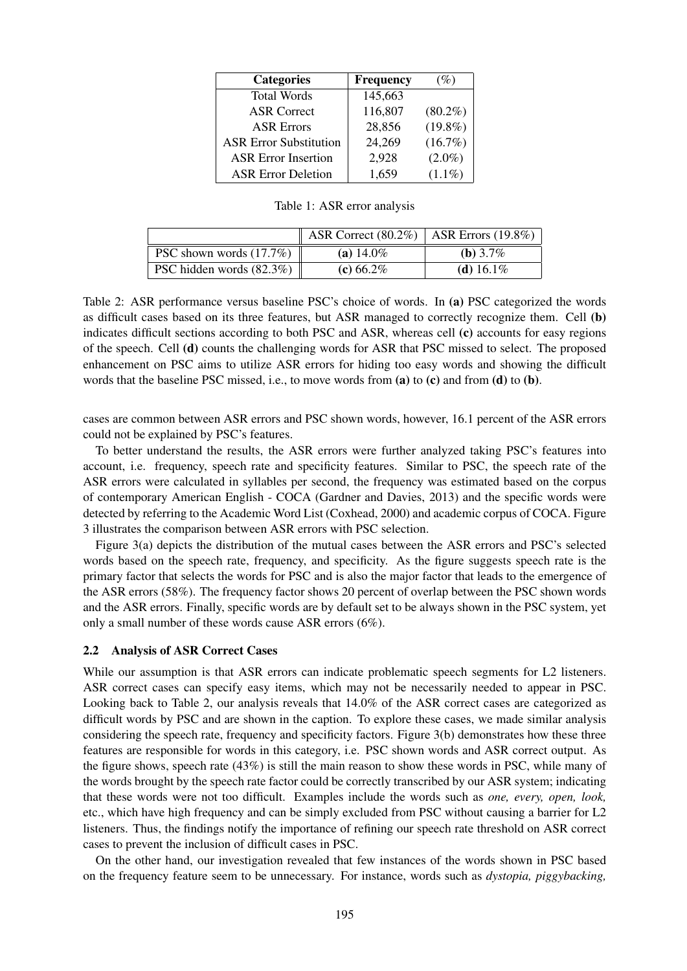| <b>Categories</b>             | <b>Frequency</b> | (%)        |
|-------------------------------|------------------|------------|
| <b>Total Words</b>            | 145,663          |            |
| <b>ASR Correct</b>            | 116,807          | $(80.2\%)$ |
| <b>ASR Errors</b>             | 28,856           | $(19.8\%)$ |
| <b>ASR Error Substitution</b> | 24,269           | $(16.7\%)$ |
| <b>ASR Error Insertion</b>    | 2,928            | $(2.0\%)$  |
| <b>ASR Error Deletion</b>     | 1,659            | $(1.1\%)$  |

Table 1: ASR error analysis

|                            | ASR Correct $(80.2\%)$   ASR Errors $(19.8\%)$ |              |
|----------------------------|------------------------------------------------|--------------|
| PSC shown words $(17.7\%)$ | (a) $14.0\%$                                   | (b) $3.7\%$  |
| PSC hidden words (82.3%)   | (c) $66.2\%$                                   | (d) $16.1\%$ |

Table 2: ASR performance versus baseline PSC's choice of words. In (a) PSC categorized the words as difficult cases based on its three features, but ASR managed to correctly recognize them. Cell (b) indicates difficult sections according to both PSC and ASR, whereas cell (c) accounts for easy regions of the speech. Cell (d) counts the challenging words for ASR that PSC missed to select. The proposed enhancement on PSC aims to utilize ASR errors for hiding too easy words and showing the difficult words that the baseline PSC missed, i.e., to move words from  $(a)$  to  $(c)$  and from  $(d)$  to  $(b)$ .

cases are common between ASR errors and PSC shown words, however, 16.1 percent of the ASR errors could not be explained by PSC's features.

To better understand the results, the ASR errors were further analyzed taking PSC's features into account, i.e. frequency, speech rate and specificity features. Similar to PSC, the speech rate of the ASR errors were calculated in syllables per second, the frequency was estimated based on the corpus of contemporary American English - COCA (Gardner and Davies, 2013) and the specific words were detected by referring to the Academic Word List (Coxhead, 2000) and academic corpus of COCA. Figure 3 illustrates the comparison between ASR errors with PSC selection.

Figure 3(a) depicts the distribution of the mutual cases between the ASR errors and PSC's selected words based on the speech rate, frequency, and specificity. As the figure suggests speech rate is the primary factor that selects the words for PSC and is also the major factor that leads to the emergence of the ASR errors (58%). The frequency factor shows 20 percent of overlap between the PSC shown words and the ASR errors. Finally, specific words are by default set to be always shown in the PSC system, yet only a small number of these words cause ASR errors (6%).

### 2.2 Analysis of ASR Correct Cases

While our assumption is that ASR errors can indicate problematic speech segments for L2 listeners. ASR correct cases can specify easy items, which may not be necessarily needed to appear in PSC. Looking back to Table 2, our analysis reveals that 14.0% of the ASR correct cases are categorized as difficult words by PSC and are shown in the caption. To explore these cases, we made similar analysis considering the speech rate, frequency and specificity factors. Figure 3(b) demonstrates how these three features are responsible for words in this category, i.e. PSC shown words and ASR correct output. As the figure shows, speech rate (43%) is still the main reason to show these words in PSC, while many of the words brought by the speech rate factor could be correctly transcribed by our ASR system; indicating that these words were not too difficult. Examples include the words such as *one, every, open, look,* etc., which have high frequency and can be simply excluded from PSC without causing a barrier for L2 listeners. Thus, the findings notify the importance of refining our speech rate threshold on ASR correct cases to prevent the inclusion of difficult cases in PSC.

On the other hand, our investigation revealed that few instances of the words shown in PSC based on the frequency feature seem to be unnecessary. For instance, words such as *dystopia, piggybacking,*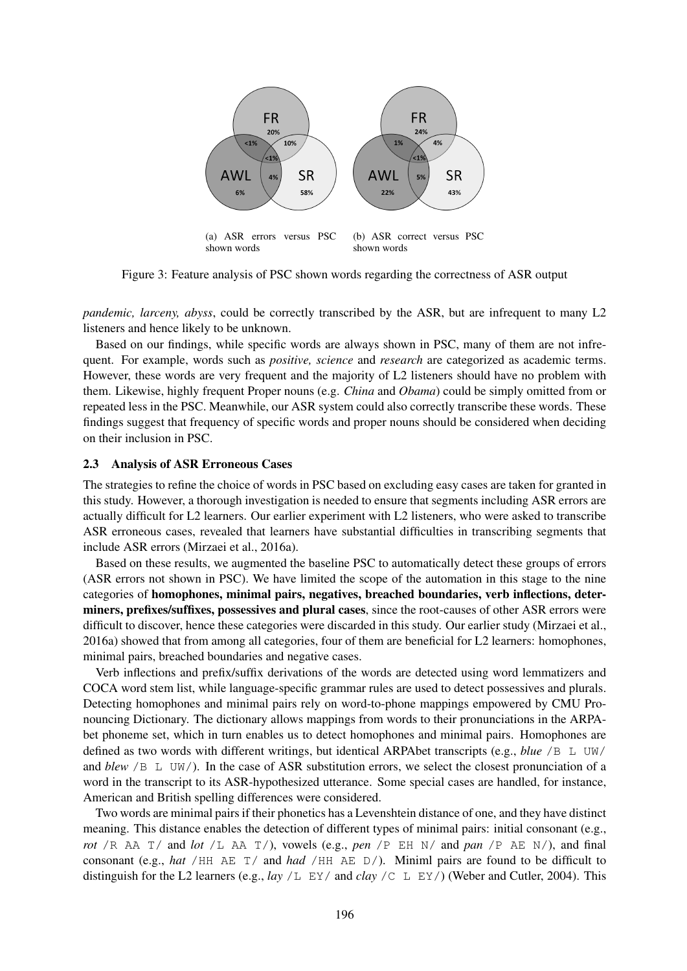

Figure 3: Feature analysis of PSC shown words regarding the correctness of ASR output

*pandemic, larceny, abyss, could be correctly transcribed by the ASR, but are infrequent to many L2* listeners and hence likely to be unknown.

Based on our findings, while specific words are always shown in PSC, many of them are not infrequent. For example, words such as *positive, science* and *research* are categorized as academic terms. However, these words are very frequent and the majority of L2 listeners should have no problem with them. Likewise, highly frequent Proper nouns (e.g. *China* and *Obama*) could be simply omitted from or repeated less in the PSC. Meanwhile, our ASR system could also correctly transcribe these words. These findings suggest that frequency of specific words and proper nouns should be considered when deciding on their inclusion in PSC.

### 2.3 Analysis of ASR Erroneous Cases

The strategies to refine the choice of words in PSC based on excluding easy cases are taken for granted in this study. However, a thorough investigation is needed to ensure that segments including ASR errors are actually difficult for L2 learners. Our earlier experiment with L2 listeners, who were asked to transcribe ASR erroneous cases, revealed that learners have substantial difficulties in transcribing segments that include ASR errors (Mirzaei et al., 2016a).

Based on these results, we augmented the baseline PSC to automatically detect these groups of errors (ASR errors not shown in PSC). We have limited the scope of the automation in this stage to the nine categories of homophones, minimal pairs, negatives, breached boundaries, verb inflections, determiners, prefixes/suffixes, possessives and plural cases, since the root-causes of other ASR errors were difficult to discover, hence these categories were discarded in this study. Our earlier study (Mirzaei et al., 2016a) showed that from among all categories, four of them are beneficial for L2 learners: homophones, minimal pairs, breached boundaries and negative cases.

Verb inflections and prefix/suffix derivations of the words are detected using word lemmatizers and COCA word stem list, while language-specific grammar rules are used to detect possessives and plurals. Detecting homophones and minimal pairs rely on word-to-phone mappings empowered by CMU Pronouncing Dictionary. The dictionary allows mappings from words to their pronunciations in the ARPAbet phoneme set, which in turn enables us to detect homophones and minimal pairs. Homophones are defined as two words with different writings, but identical ARPAbet transcripts (e.g., *blue* /B L UW/ and *blew* /B L UW/). In the case of ASR substitution errors, we select the closest pronunciation of a word in the transcript to its ASR-hypothesized utterance. Some special cases are handled, for instance, American and British spelling differences were considered.

Two words are minimal pairs if their phonetics has a Levenshtein distance of one, and they have distinct meaning. This distance enables the detection of different types of minimal pairs: initial consonant (e.g., *rot* /R AA  $T$  / and *lot* /L AA  $T$  /), vowels (e.g., *pen* /P EH N/ and *pan* /P AE N/), and final consonant (e.g., *hat* /HH AE T/ and *had* /HH AE D/). Miniml pairs are found to be difficult to distinguish for the L2 learners (e.g., *lay* /L EY/ and *clay* /C L EY/) (Weber and Cutler, 2004). This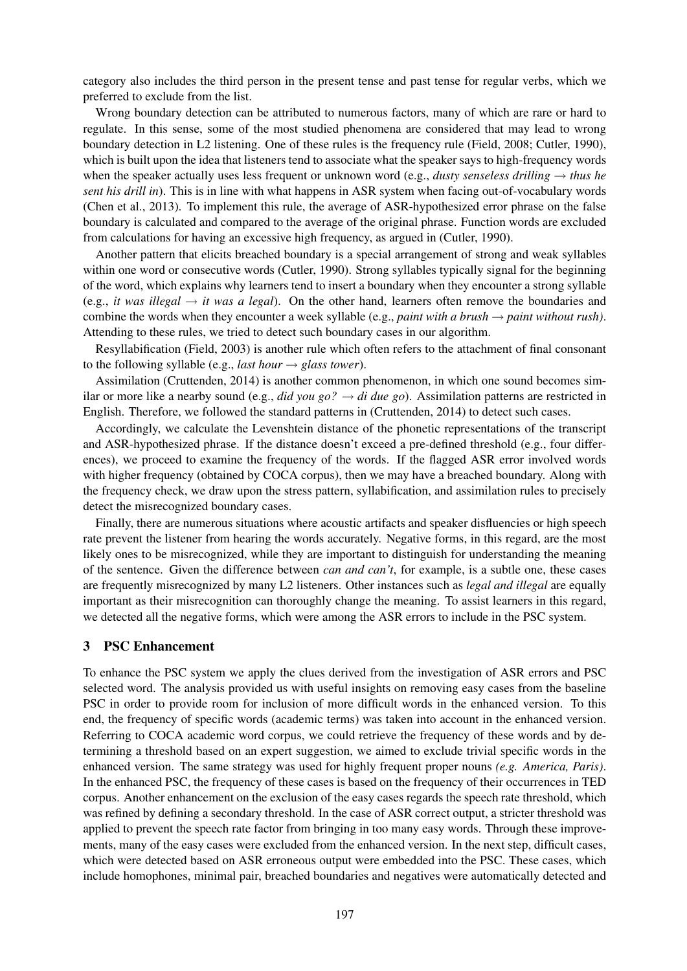category also includes the third person in the present tense and past tense for regular verbs, which we preferred to exclude from the list.

Wrong boundary detection can be attributed to numerous factors, many of which are rare or hard to regulate. In this sense, some of the most studied phenomena are considered that may lead to wrong boundary detection in L2 listening. One of these rules is the frequency rule (Field, 2008; Cutler, 1990), which is built upon the idea that listeners tend to associate what the speaker says to high-frequency words when the speaker actually uses less frequent or unknown word (e.g., *dusty senseless drilling* → *thus he sent his drill in*). This is in line with what happens in ASR system when facing out-of-vocabulary words (Chen et al., 2013). To implement this rule, the average of ASR-hypothesized error phrase on the false boundary is calculated and compared to the average of the original phrase. Function words are excluded from calculations for having an excessive high frequency, as argued in (Cutler, 1990).

Another pattern that elicits breached boundary is a special arrangement of strong and weak syllables within one word or consecutive words (Cutler, 1990). Strong syllables typically signal for the beginning of the word, which explains why learners tend to insert a boundary when they encounter a strong syllable (e.g., *it was illegal*  $\rightarrow$  *it was a legal*). On the other hand, learners often remove the boundaries and combine the words when they encounter a week syllable (e.g., *paint with a brush*  $\rightarrow$  *paint without rush*). Attending to these rules, we tried to detect such boundary cases in our algorithm.

Resyllabification (Field, 2003) is another rule which often refers to the attachment of final consonant to the following syllable (e.g., *last hour*  $\rightarrow$  *glass tower*).

Assimilation (Cruttenden, 2014) is another common phenomenon, in which one sound becomes similar or more like a nearby sound (e.g., *did you go?* → *di due go*). Assimilation patterns are restricted in English. Therefore, we followed the standard patterns in (Cruttenden, 2014) to detect such cases.

Accordingly, we calculate the Levenshtein distance of the phonetic representations of the transcript and ASR-hypothesized phrase. If the distance doesn't exceed a pre-defined threshold (e.g., four differences), we proceed to examine the frequency of the words. If the flagged ASR error involved words with higher frequency (obtained by COCA corpus), then we may have a breached boundary. Along with the frequency check, we draw upon the stress pattern, syllabification, and assimilation rules to precisely detect the misrecognized boundary cases.

Finally, there are numerous situations where acoustic artifacts and speaker disfluencies or high speech rate prevent the listener from hearing the words accurately. Negative forms, in this regard, are the most likely ones to be misrecognized, while they are important to distinguish for understanding the meaning of the sentence. Given the difference between *can and can't*, for example, is a subtle one, these cases are frequently misrecognized by many L2 listeners. Other instances such as *legal and illegal* are equally important as their misrecognition can thoroughly change the meaning. To assist learners in this regard, we detected all the negative forms, which were among the ASR errors to include in the PSC system.

### 3 PSC Enhancement

To enhance the PSC system we apply the clues derived from the investigation of ASR errors and PSC selected word. The analysis provided us with useful insights on removing easy cases from the baseline PSC in order to provide room for inclusion of more difficult words in the enhanced version. To this end, the frequency of specific words (academic terms) was taken into account in the enhanced version. Referring to COCA academic word corpus, we could retrieve the frequency of these words and by determining a threshold based on an expert suggestion, we aimed to exclude trivial specific words in the enhanced version. The same strategy was used for highly frequent proper nouns *(e.g. America, Paris)*. In the enhanced PSC, the frequency of these cases is based on the frequency of their occurrences in TED corpus. Another enhancement on the exclusion of the easy cases regards the speech rate threshold, which was refined by defining a secondary threshold. In the case of ASR correct output, a stricter threshold was applied to prevent the speech rate factor from bringing in too many easy words. Through these improvements, many of the easy cases were excluded from the enhanced version. In the next step, difficult cases, which were detected based on ASR erroneous output were embedded into the PSC. These cases, which include homophones, minimal pair, breached boundaries and negatives were automatically detected and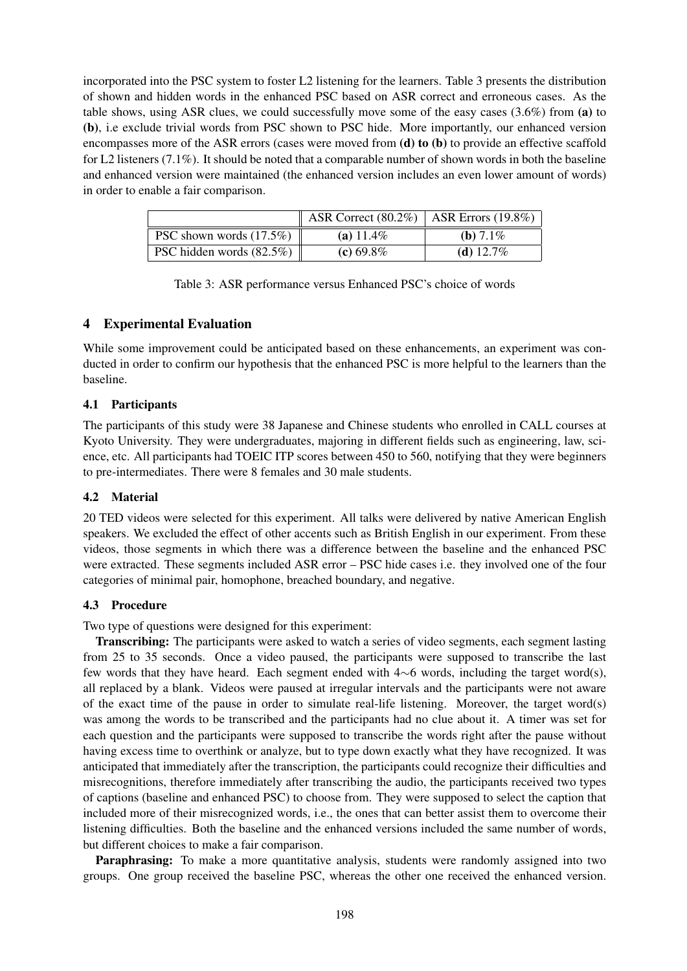incorporated into the PSC system to foster L2 listening for the learners. Table 3 presents the distribution of shown and hidden words in the enhanced PSC based on ASR correct and erroneous cases. As the table shows, using ASR clues, we could successfully move some of the easy cases (3.6%) from (a) to (b), i.e exclude trivial words from PSC shown to PSC hide. More importantly, our enhanced version encompasses more of the ASR errors (cases were moved from (d) to (b) to provide an effective scaffold for L2 listeners (7.1%). It should be noted that a comparable number of shown words in both the baseline and enhanced version were maintained (the enhanced version includes an even lower amount of words) in order to enable a fair comparison.

|                             | ASR Correct $(80.2\%)$ ASR Errors $(19.8\%)$ |              |
|-----------------------------|----------------------------------------------|--------------|
| PSC shown words $(17.5\%)$  | (a) $11.4\%$                                 | (b) $7.1\%$  |
| PSC hidden words $(82.5\%)$ | (c) $69.8\%$                                 | (d) $12.7\%$ |

|  | Table 3: ASR performance versus Enhanced PSC's choice of words |  |  |  |
|--|----------------------------------------------------------------|--|--|--|
|  |                                                                |  |  |  |

# 4 Experimental Evaluation

While some improvement could be anticipated based on these enhancements, an experiment was conducted in order to confirm our hypothesis that the enhanced PSC is more helpful to the learners than the baseline.

# 4.1 Participants

The participants of this study were 38 Japanese and Chinese students who enrolled in CALL courses at Kyoto University. They were undergraduates, majoring in different fields such as engineering, law, science, etc. All participants had TOEIC ITP scores between 450 to 560, notifying that they were beginners to pre-intermediates. There were 8 females and 30 male students.

# 4.2 Material

20 TED videos were selected for this experiment. All talks were delivered by native American English speakers. We excluded the effect of other accents such as British English in our experiment. From these videos, those segments in which there was a difference between the baseline and the enhanced PSC were extracted. These segments included ASR error – PSC hide cases i.e. they involved one of the four categories of minimal pair, homophone, breached boundary, and negative.

# 4.3 Procedure

Two type of questions were designed for this experiment:

Transcribing: The participants were asked to watch a series of video segments, each segment lasting from 25 to 35 seconds. Once a video paused, the participants were supposed to transcribe the last few words that they have heard. Each segment ended with 4∼6 words, including the target word(s), all replaced by a blank. Videos were paused at irregular intervals and the participants were not aware of the exact time of the pause in order to simulate real-life listening. Moreover, the target word(s) was among the words to be transcribed and the participants had no clue about it. A timer was set for each question and the participants were supposed to transcribe the words right after the pause without having excess time to overthink or analyze, but to type down exactly what they have recognized. It was anticipated that immediately after the transcription, the participants could recognize their difficulties and misrecognitions, therefore immediately after transcribing the audio, the participants received two types of captions (baseline and enhanced PSC) to choose from. They were supposed to select the caption that included more of their misrecognized words, i.e., the ones that can better assist them to overcome their listening difficulties. Both the baseline and the enhanced versions included the same number of words, but different choices to make a fair comparison.

**Paraphrasing:** To make a more quantitative analysis, students were randomly assigned into two groups. One group received the baseline PSC, whereas the other one received the enhanced version.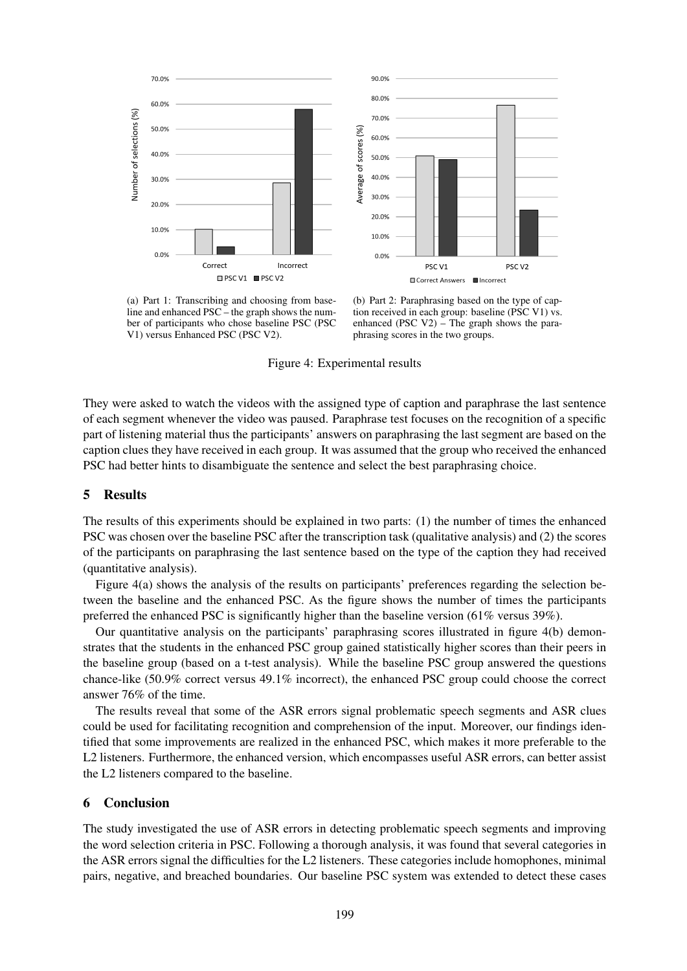

(a) Part 1: Transcribing and choosing from baseline and enhanced PSC – the graph shows the number of participants who chose baseline PSC (PSC V1) versus Enhanced PSC (PSC V2).

(b) Part 2: Paraphrasing based on the type of caption received in each group: baseline (PSC V1) vs. enhanced (PSC V2) – The graph shows the paraphrasing scores in the two groups.

Figure 4: Experimental results

They were asked to watch the videos with the assigned type of caption and paraphrase the last sentence of each segment whenever the video was paused. Paraphrase test focuses on the recognition of a specific part of listening material thus the participants' answers on paraphrasing the last segment are based on the caption clues they have received in each group. It was assumed that the group who received the enhanced PSC had better hints to disambiguate the sentence and select the best paraphrasing choice.

### 5 Results

The results of this experiments should be explained in two parts: (1) the number of times the enhanced PSC was chosen over the baseline PSC after the transcription task (qualitative analysis) and (2) the scores of the participants on paraphrasing the last sentence based on the type of the caption they had received (quantitative analysis).

Figure 4(a) shows the analysis of the results on participants' preferences regarding the selection between the baseline and the enhanced PSC. As the figure shows the number of times the participants preferred the enhanced PSC is significantly higher than the baseline version (61% versus 39%).

Our quantitative analysis on the participants' paraphrasing scores illustrated in figure 4(b) demonstrates that the students in the enhanced PSC group gained statistically higher scores than their peers in the baseline group (based on a t-test analysis). While the baseline PSC group answered the questions chance-like (50.9% correct versus 49.1% incorrect), the enhanced PSC group could choose the correct answer 76% of the time.

The results reveal that some of the ASR errors signal problematic speech segments and ASR clues could be used for facilitating recognition and comprehension of the input. Moreover, our findings identified that some improvements are realized in the enhanced PSC, which makes it more preferable to the L2 listeners. Furthermore, the enhanced version, which encompasses useful ASR errors, can better assist the L2 listeners compared to the baseline.

### 6 Conclusion

The study investigated the use of ASR errors in detecting problematic speech segments and improving the word selection criteria in PSC. Following a thorough analysis, it was found that several categories in the ASR errors signal the difficulties for the L2 listeners. These categories include homophones, minimal pairs, negative, and breached boundaries. Our baseline PSC system was extended to detect these cases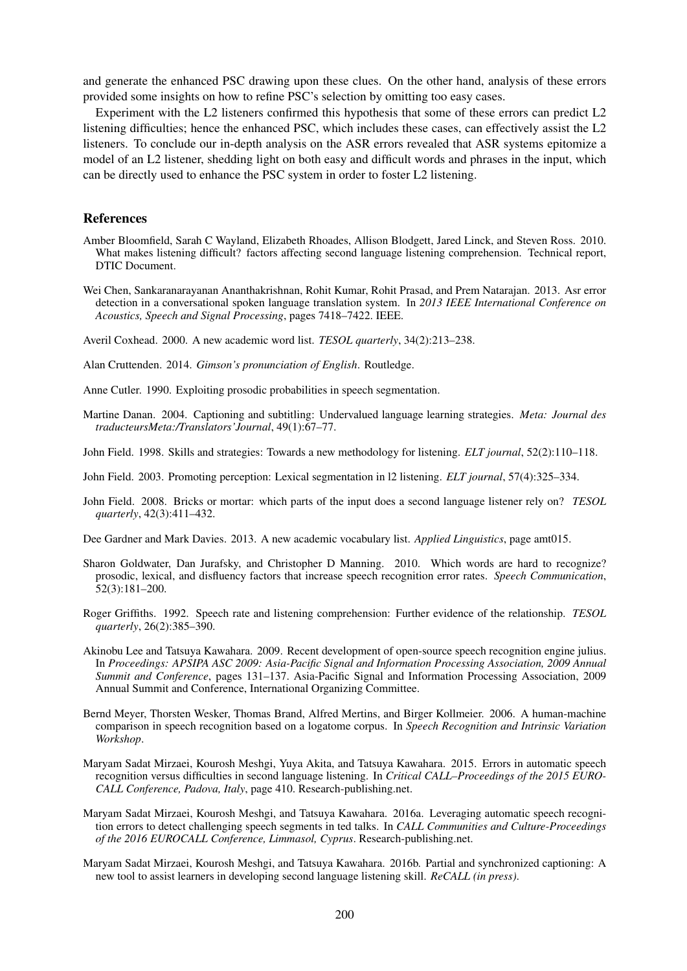and generate the enhanced PSC drawing upon these clues. On the other hand, analysis of these errors provided some insights on how to refine PSC's selection by omitting too easy cases.

Experiment with the L2 listeners confirmed this hypothesis that some of these errors can predict L2 listening difficulties; hence the enhanced PSC, which includes these cases, can effectively assist the L2 listeners. To conclude our in-depth analysis on the ASR errors revealed that ASR systems epitomize a model of an L2 listener, shedding light on both easy and difficult words and phrases in the input, which can be directly used to enhance the PSC system in order to foster L2 listening.

#### References

- Amber Bloomfield, Sarah C Wayland, Elizabeth Rhoades, Allison Blodgett, Jared Linck, and Steven Ross. 2010. What makes listening difficult? factors affecting second language listening comprehension. Technical report, DTIC Document.
- Wei Chen, Sankaranarayanan Ananthakrishnan, Rohit Kumar, Rohit Prasad, and Prem Natarajan. 2013. Asr error detection in a conversational spoken language translation system. In *2013 IEEE International Conference on Acoustics, Speech and Signal Processing*, pages 7418–7422. IEEE.
- Averil Coxhead. 2000. A new academic word list. *TESOL quarterly*, 34(2):213–238.
- Alan Cruttenden. 2014. *Gimson's pronunciation of English*. Routledge.

Anne Cutler. 1990. Exploiting prosodic probabilities in speech segmentation.

- Martine Danan. 2004. Captioning and subtitling: Undervalued language learning strategies. *Meta: Journal des traducteursMeta:/Translators'Journal*, 49(1):67–77.
- John Field. 1998. Skills and strategies: Towards a new methodology for listening. *ELT journal*, 52(2):110–118.
- John Field. 2003. Promoting perception: Lexical segmentation in l2 listening. *ELT journal*, 57(4):325–334.
- John Field. 2008. Bricks or mortar: which parts of the input does a second language listener rely on? *TESOL quarterly*, 42(3):411–432.
- Dee Gardner and Mark Davies. 2013. A new academic vocabulary list. *Applied Linguistics*, page amt015.
- Sharon Goldwater, Dan Jurafsky, and Christopher D Manning. 2010. Which words are hard to recognize? prosodic, lexical, and disfluency factors that increase speech recognition error rates. *Speech Communication*, 52(3):181–200.
- Roger Griffiths. 1992. Speech rate and listening comprehension: Further evidence of the relationship. *TESOL quarterly*, 26(2):385–390.
- Akinobu Lee and Tatsuya Kawahara. 2009. Recent development of open-source speech recognition engine julius. In *Proceedings: APSIPA ASC 2009: Asia-Pacific Signal and Information Processing Association, 2009 Annual Summit and Conference*, pages 131–137. Asia-Pacific Signal and Information Processing Association, 2009 Annual Summit and Conference, International Organizing Committee.
- Bernd Meyer, Thorsten Wesker, Thomas Brand, Alfred Mertins, and Birger Kollmeier. 2006. A human-machine comparison in speech recognition based on a logatome corpus. In *Speech Recognition and Intrinsic Variation Workshop*.
- Maryam Sadat Mirzaei, Kourosh Meshgi, Yuya Akita, and Tatsuya Kawahara. 2015. Errors in automatic speech recognition versus difficulties in second language listening. In *Critical CALL–Proceedings of the 2015 EURO-CALL Conference, Padova, Italy*, page 410. Research-publishing.net.
- Maryam Sadat Mirzaei, Kourosh Meshgi, and Tatsuya Kawahara. 2016a. Leveraging automatic speech recognition errors to detect challenging speech segments in ted talks. In *CALL Communities and Culture-Proceedings of the 2016 EUROCALL Conference, Limmasol, Cyprus*. Research-publishing.net.
- Maryam Sadat Mirzaei, Kourosh Meshgi, and Tatsuya Kawahara. 2016b. Partial and synchronized captioning: A new tool to assist learners in developing second language listening skill. *ReCALL (in press)*.